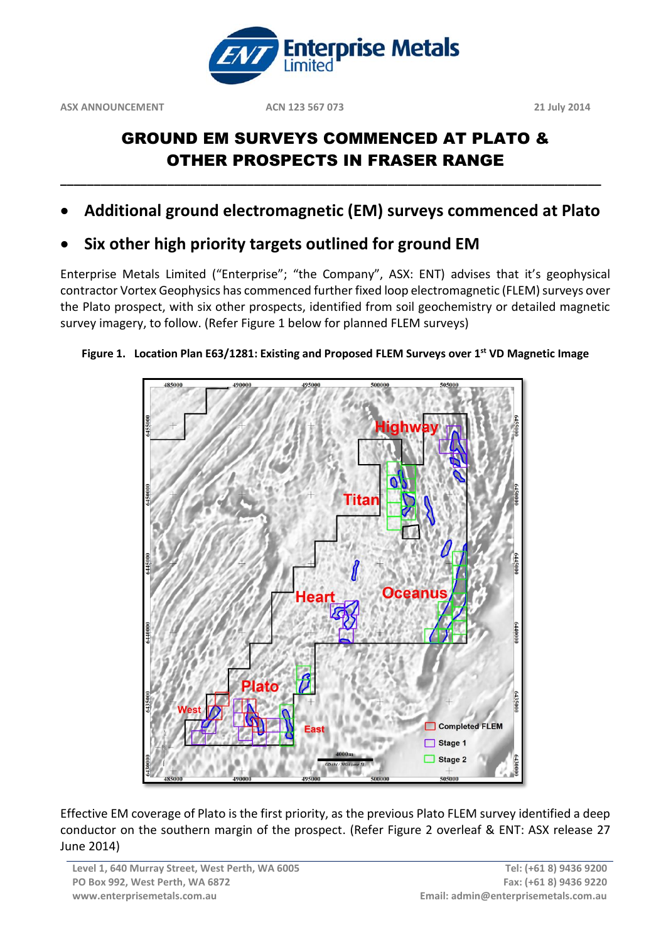

## GROUND EM SURVEYS COMMENCED AT PLATO & OTHER PROSPECTS IN FRASER RANGE

**Additional ground electromagnetic (EM) surveys commenced at Plato**

**\_\_\_\_\_\_\_\_\_\_\_\_\_\_\_\_\_\_\_\_\_\_\_\_\_\_\_\_\_\_\_\_\_\_\_\_\_\_\_\_\_\_\_\_\_\_\_\_\_\_\_\_\_\_\_\_\_\_\_\_\_\_\_\_\_\_\_\_\_\_\_\_\_\_\_\_\_\_\_\_\_**

**Six other high priority targets outlined for ground EM** 

Enterprise Metals Limited ("Enterprise"; "the Company", ASX: ENT) advises that it's geophysical contractor Vortex Geophysics has commenced further fixed loop electromagnetic (FLEM) surveys over the Plato prospect, with six other prospects, identified from soil geochemistry or detailed magnetic survey imagery, to follow. (Refer Figure 1 below for planned FLEM surveys)



## **Figure 1. Location Plan E63/1281: Existing and Proposed FLEM Surveys over 1st VD Magnetic Image**

Effective EM coverage of Plato is the first priority, as the previous Plato FLEM survey identified a deep conductor on the southern margin of the prospect. (Refer Figure 2 overleaf & ENT: ASX release 27 June 2014)